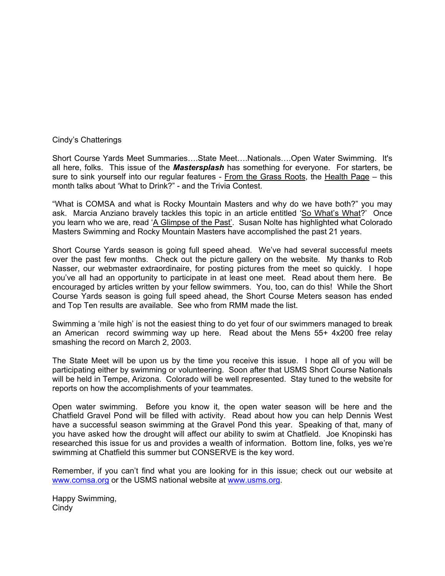#### Cindy's Chatterings

Short Course Yards Meet Summaries….State Meet….Nationals….Open Water Swimming. It's all here, folks. This issue of the *Mastersplash* has something for everyone. For starters, be sure to sink yourself into our regular features - From the Grass Roots, the Health Page – this month talks about 'What to Drink?" - and the Trivia Contest.

"What is COMSA and what is Rocky Mountain Masters and why do we have both?" you may ask. Marcia Anziano bravely tackles this topic in an article entitled 'So What's What?' Once you learn who we are, read 'A Glimpse of the Past'. Susan Nolte has highlighted what Colorado Masters Swimming and Rocky Mountain Masters have accomplished the past 21 years.

Short Course Yards season is going full speed ahead. We've had several successful meets over the past few months. Check out the picture gallery on the website. My thanks to Rob Nasser, our webmaster extraordinaire, for posting pictures from the meet so quickly. I hope you've all had an opportunity to participate in at least one meet. Read about them here. Be encouraged by articles written by your fellow swimmers. You, too, can do this! While the Short Course Yards season is going full speed ahead, the Short Course Meters season has ended and Top Ten results are available. See who from RMM made the list.

Swimming a 'mile high' is not the easiest thing to do yet four of our swimmers managed to break an American record swimming way up here. Read about the Mens 55+ 4x200 free relay smashing the record on March 2, 2003.

The State Meet will be upon us by the time you receive this issue. I hope all of you will be participating either by swimming or volunteering. Soon after that USMS Short Course Nationals will be held in Tempe, Arizona. Colorado will be well represented. Stay tuned to the website for reports on how the accomplishments of your teammates.

Open water swimming. Before you know it, the open water season will be here and the Chatfield Gravel Pond will be filled with activity. Read about how you can help Dennis West have a successful season swimming at the Gravel Pond this year. Speaking of that, many of you have asked how the drought will affect our ability to swim at Chatfield. Joe Knopinski has researched this issue for us and provides a wealth of information. Bottom line, folks, yes we're swimming at Chatfield this summer but CONSERVE is the key word.

Remember, if you can't find what you are looking for in this issue; check out our website at [www.comsa.org](http://www.comsa.org/) or the USMS national website at [www.usms.org.](http://www.usms.org/)

Happy Swimming, Cindy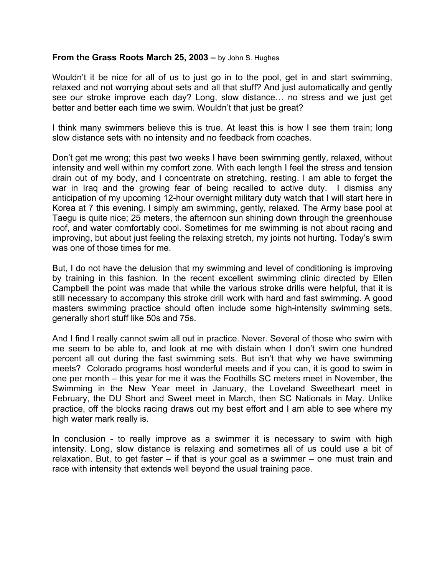#### **From the Grass Roots March 25, 2003 –** by John S. Hughes

Wouldn't it be nice for all of us to just go in to the pool, get in and start swimming, relaxed and not worrying about sets and all that stuff? And just automatically and gently see our stroke improve each day? Long, slow distance… no stress and we just get better and better each time we swim. Wouldn't that just be great?

I think many swimmers believe this is true. At least this is how I see them train; long slow distance sets with no intensity and no feedback from coaches.

Don't get me wrong; this past two weeks I have been swimming gently, relaxed, without intensity and well within my comfort zone. With each length I feel the stress and tension drain out of my body, and I concentrate on stretching, resting. I am able to forget the war in Iraq and the growing fear of being recalled to active duty. I dismiss any anticipation of my upcoming 12-hour overnight military duty watch that I will start here in Korea at 7 this evening. I simply am swimming, gently, relaxed. The Army base pool at Taegu is quite nice; 25 meters, the afternoon sun shining down through the greenhouse roof, and water comfortably cool. Sometimes for me swimming is not about racing and improving, but about just feeling the relaxing stretch, my joints not hurting. Today's swim was one of those times for me.

But, I do not have the delusion that my swimming and level of conditioning is improving by training in this fashion. In the recent excellent swimming clinic directed by Ellen Campbell the point was made that while the various stroke drills were helpful, that it is still necessary to accompany this stroke drill work with hard and fast swimming. A good masters swimming practice should often include some high-intensity swimming sets, generally short stuff like 50s and 75s.

And I find I really cannot swim all out in practice. Never. Several of those who swim with me seem to be able to, and look at me with distain when I don't swim one hundred percent all out during the fast swimming sets. But isn't that why we have swimming meets? Colorado programs host wonderful meets and if you can, it is good to swim in one per month – this year for me it was the Foothills SC meters meet in November, the Swimming in the New Year meet in January, the Loveland Sweetheart meet in February, the DU Short and Sweet meet in March, then SC Nationals in May. Unlike practice, off the blocks racing draws out my best effort and I am able to see where my high water mark really is.

In conclusion - to really improve as a swimmer it is necessary to swim with high intensity. Long, slow distance is relaxing and sometimes all of us could use a bit of relaxation. But, to get faster – if that is your goal as a swimmer – one must train and race with intensity that extends well beyond the usual training pace.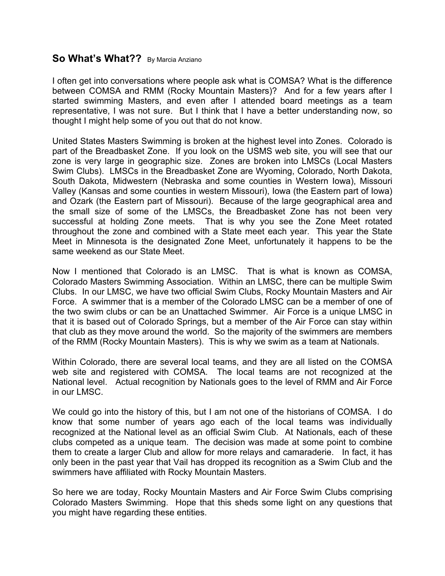### **So What's What??** By Marcia Anziano

I often get into conversations where people ask what is COMSA? What is the difference between COMSA and RMM (Rocky Mountain Masters)? And for a few years after I started swimming Masters, and even after I attended board meetings as a team representative, I was not sure. But I think that I have a better understanding now, so thought I might help some of you out that do not know.

United States Masters Swimming is broken at the highest level into Zones. Colorado is part of the Breadbasket Zone. If you look on the USMS web site, you will see that our zone is very large in geographic size. Zones are broken into LMSCs (Local Masters Swim Clubs). LMSCs in the Breadbasket Zone are Wyoming, Colorado, North Dakota, South Dakota, Midwestern (Nebraska and some counties in Western Iowa), Missouri Valley (Kansas and some counties in western Missouri), Iowa (the Eastern part of Iowa) and Ozark (the Eastern part of Missouri). Because of the large geographical area and the small size of some of the LMSCs, the Breadbasket Zone has not been very successful at holding Zone meets. That is why you see the Zone Meet rotated throughout the zone and combined with a State meet each year. This year the State Meet in Minnesota is the designated Zone Meet, unfortunately it happens to be the same weekend as our State Meet.

Now I mentioned that Colorado is an LMSC. That is what is known as COMSA, Colorado Masters Swimming Association. Within an LMSC, there can be multiple Swim Clubs. In our LMSC, we have two official Swim Clubs, Rocky Mountain Masters and Air Force. A swimmer that is a member of the Colorado LMSC can be a member of one of the two swim clubs or can be an Unattached Swimmer. Air Force is a unique LMSC in that it is based out of Colorado Springs, but a member of the Air Force can stay within that club as they move around the world. So the majority of the swimmers are members of the RMM (Rocky Mountain Masters). This is why we swim as a team at Nationals.

Within Colorado, there are several local teams, and they are all listed on the COMSA web site and registered with COMSA. The local teams are not recognized at the National level. Actual recognition by Nationals goes to the level of RMM and Air Force in our LMSC.

We could go into the history of this, but I am not one of the historians of COMSA. I do know that some number of years ago each of the local teams was individually recognized at the National level as an official Swim Club. At Nationals, each of these clubs competed as a unique team. The decision was made at some point to combine them to create a larger Club and allow for more relays and camaraderie. In fact, it has only been in the past year that Vail has dropped its recognition as a Swim Club and the swimmers have affiliated with Rocky Mountain Masters.

So here we are today, Rocky Mountain Masters and Air Force Swim Clubs comprising Colorado Masters Swimming. Hope that this sheds some light on any questions that you might have regarding these entities.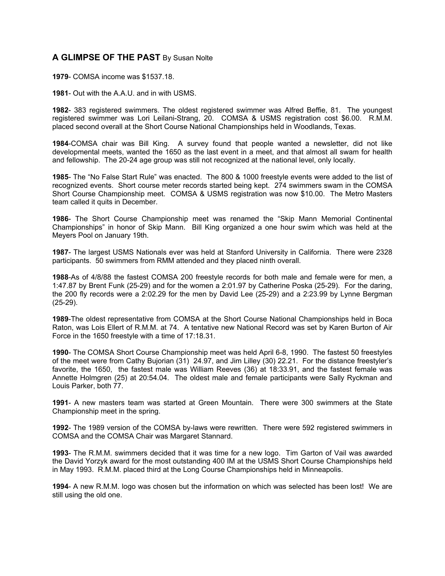#### **A GLIMPSE OF THE PAST** By Susan Nolte

**1979**- COMSA income was \$1537.18.

**1981**- Out with the A.A.U. and in with USMS.

**1982**- 383 registered swimmers. The oldest registered swimmer was Alfred Beffie, 81. The youngest registered swimmer was Lori Leilani-Strang, 20. COMSA & USMS registration cost \$6.00. R.M.M. placed second overall at the Short Course National Championships held in Woodlands, Texas.

**1984**-COMSA chair was Bill King. A survey found that people wanted a newsletter, did not like developmental meets, wanted the 1650 as the last event in a meet, and that almost all swam for health and fellowship. The 20-24 age group was still not recognized at the national level, only locally.

**1985**- The "No False Start Rule" was enacted. The 800 & 1000 freestyle events were added to the list of recognized events. Short course meter records started being kept. 274 swimmers swam in the COMSA Short Course Championship meet. COMSA & USMS registration was now \$10.00. The Metro Masters team called it quits in December.

**1986**- The Short Course Championship meet was renamed the "Skip Mann Memorial Continental Championships" in honor of Skip Mann. Bill King organized a one hour swim which was held at the Meyers Pool on January 19th.

**1987**- The largest USMS Nationals ever was held at Stanford University in California. There were 2328 participants. 50 swimmers from RMM attended and they placed ninth overall.

**1988**-As of 4/8/88 the fastest COMSA 200 freestyle records for both male and female were for men, a 1:47.87 by Brent Funk (25-29) and for the women a 2:01.97 by Catherine Poska (25-29). For the daring, the 200 fly records were a 2:02.29 for the men by David Lee (25-29) and a 2:23.99 by Lynne Bergman (25-29).

**1989**-The oldest representative from COMSA at the Short Course National Championships held in Boca Raton, was Lois Ellert of R.M.M. at 74. A tentative new National Record was set by Karen Burton of Air Force in the 1650 freestyle with a time of 17:18.31.

**1990**- The COMSA Short Course Championship meet was held April 6-8, 1990. The fastest 50 freestyles of the meet were from Cathy Bujorian (31) 24.97, and Jim Lilley (30) 22.21. For the distance freestyler's favorite, the 1650, the fastest male was William Reeves (36) at 18:33.91, and the fastest female was Annette Holmgren (25) at 20:54.04. The oldest male and female participants were Sally Ryckman and Louis Parker, both 77.

**1991**- A new masters team was started at Green Mountain. There were 300 swimmers at the State Championship meet in the spring.

**1992**- The 1989 version of the COMSA by-laws were rewritten. There were 592 registered swimmers in COMSA and the COMSA Chair was Margaret Stannard.

**1993**- The R.M.M. swimmers decided that it was time for a new logo. Tim Garton of Vail was awarded the David Yorzyk award for the most outstanding 400 IM at the USMS Short Course Championships held in May 1993. R.M.M. placed third at the Long Course Championships held in Minneapolis.

**1994**- A new R.M.M. logo was chosen but the information on which was selected has been lost! We are still using the old one.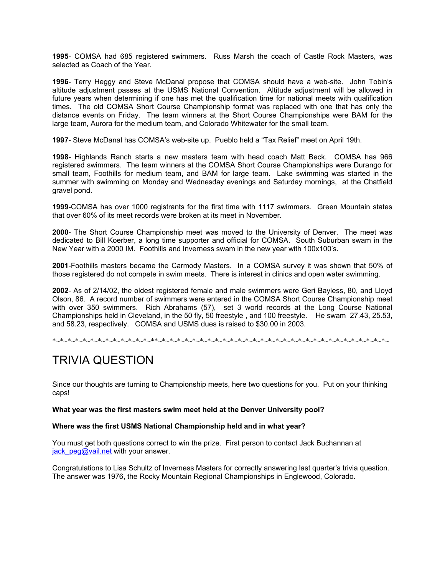**1995**- COMSA had 685 registered swimmers. Russ Marsh the coach of Castle Rock Masters, was selected as Coach of the Year.

**1996**- Terry Heggy and Steve McDanal propose that COMSA should have a web-site. John Tobin's altitude adjustment passes at the USMS National Convention. Altitude adjustment will be allowed in future years when determining if one has met the qualification time for national meets with qualification times. The old COMSA Short Course Championship format was replaced with one that has only the distance events on Friday. The team winners at the Short Course Championships were BAM for the large team, Aurora for the medium team, and Colorado Whitewater for the small team.

**1997**- Steve McDanal has COMSA's web-site up. Pueblo held a "Tax Relief" meet on April 19th.

**1998**- Highlands Ranch starts a new masters team with head coach Matt Beck. COMSA has 966 registered swimmers. The team winners at the COMSA Short Course Championships were Durango for small team, Foothills for medium team, and BAM for large team. Lake swimming was started in the summer with swimming on Monday and Wednesday evenings and Saturday mornings, at the Chatfield gravel pond.

**1999**-COMSA has over 1000 registrants for the first time with 1117 swimmers. Green Mountain states that over 60% of its meet records were broken at its meet in November.

**2000**- The Short Course Championship meet was moved to the University of Denver. The meet was dedicated to Bill Koerber, a long time supporter and official for COMSA. South Suburban swam in the New Year with a 2000 IM. Foothills and Inverness swam in the new year with 100x100's.

**2001**-Foothills masters became the Carmody Masters. In a COMSA survey it was shown that 50% of those registered do not compete in swim meets. There is interest in clinics and open water swimming.

**2002**- As of 2/14/02, the oldest registered female and male swimmers were Geri Bayless, 80, and Lloyd Olson, 86. A record number of swimmers were entered in the COMSA Short Course Championship meet with over 350 swimmers. Rich Abrahams (57), set 3 world records at the Long Course National Championships held in Cleveland, in the 50 fly, 50 freestyle , and 100 freestyle. He swam 27.43, 25.53, and 58.23, respectively. COMSA and USMS dues is raised to \$30.00 in 2003.

\*~\*~\*~\*~\*~\*~\*~\*~\*~\*~\*~\*~\*~\*\*~\*~\*~\*~\*~\*~\*~\*~\*~\*~\*~\*~\*~\*~\*~\*~\*~\*~\*~\*~\*~\*~\*~\*~\*~\*~\*~\*~\*~\*~\*~

# TRIVIA QUESTION

Since our thoughts are turning to Championship meets, here two questions for you. Put on your thinking caps!

**What year was the first masters swim meet held at the Denver University pool?** 

**Where was the first USMS National Championship held and in what year?** 

You must get both questions correct to win the prize. First person to contact Jack Buchannan at jack  $peg@vail.net$  with your answer.

Congratulations to Lisa Schultz of Inverness Masters for correctly answering last quarter's trivia question. The answer was 1976, the Rocky Mountain Regional Championships in Englewood, Colorado.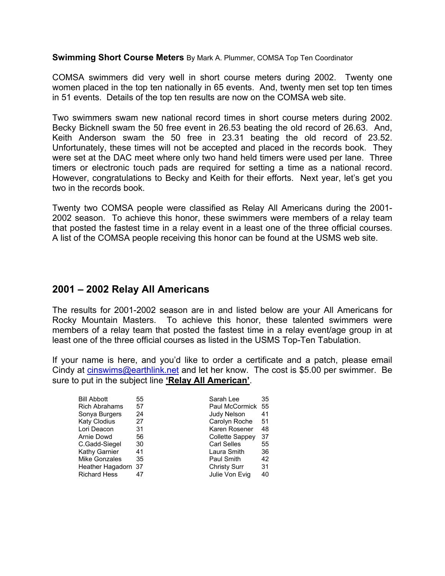**Swimming Short Course Meters** By Mark A. Plummer, COMSA Top Ten Coordinator

COMSA swimmers did very well in short course meters during 2002. Twenty one women placed in the top ten nationally in 65 events. And, twenty men set top ten times in 51 events. Details of the top ten results are now on the COMSA web site.

Two swimmers swam new national record times in short course meters during 2002. Becky Bicknell swam the 50 free event in 26.53 beating the old record of 26.63. And, Keith Anderson swam the 50 free in 23.31 beating the old record of 23.52. Unfortunately, these times will not be accepted and placed in the records book. They were set at the DAC meet where only two hand held timers were used per lane. Three timers or electronic touch pads are required for setting a time as a national record. However, congratulations to Becky and Keith for their efforts. Next year, let's get you two in the records book.

Twenty two COMSA people were classified as Relay All Americans during the 2001- 2002 season. To achieve this honor, these swimmers were members of a relay team that posted the fastest time in a relay event in a least one of the three official courses. A list of the COMSA people receiving this honor can be found at the USMS web site.

## **2001 – 2002 Relay All Americans**

The results for 2001-2002 season are in and listed below are your All Americans for Rocky Mountain Masters. To achieve this honor, these talented swimmers were members of a relay team that posted the fastest time in a relay event/age group in at least one of the three official courses as listed in the USMS Top-Ten Tabulation.

If your name is here, and you'd like to order a certificate and a patch, please email Cindy at [cinswims@earthlink.net](mailto:cinswims@earthlink.net) and let her know. The cost is \$5.00 per swimmer. Be sure to put in the subject line **'Relay All American'**.

| <b>Bill Abbott</b>   | 55 | Sarah Lee           | 35  |
|----------------------|----|---------------------|-----|
| <b>Rich Abrahams</b> | 57 | Paul McCormick      | -55 |
| Sonya Burgers        | 24 | <b>Judy Nelson</b>  | 41  |
| <b>Katy Clodius</b>  | 27 | Carolyn Roche       | 51  |
| Lori Deacon          | 31 | Karen Rosener       | 48  |
| Arnie Dowd           | 56 | Collette Sappey     | 37  |
| C.Gadd-Siegel        | 30 | <b>Carl Selles</b>  | 55  |
| Kathy Garnier        | 41 | Laura Smith         | 36  |
| Mike Gonzales        | 35 | Paul Smith          | 42  |
| Heather Hagadorn 37  |    | <b>Christy Surr</b> | 31  |
| <b>Richard Hess</b>  | 47 | Julie Von Evig      | 40  |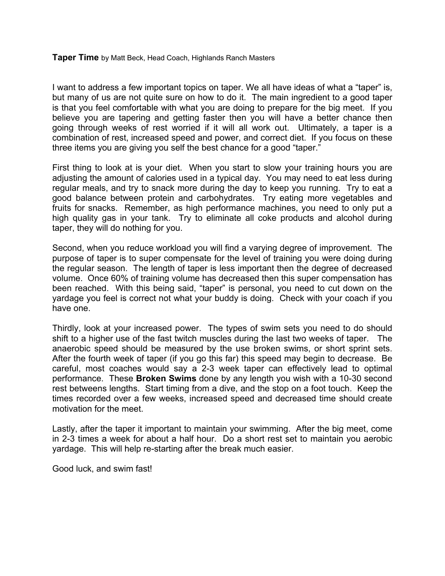#### **Taper Time** by Matt Beck, Head Coach, Highlands Ranch Masters

I want to address a few important topics on taper. We all have ideas of what a "taper" is, but many of us are not quite sure on how to do it. The main ingredient to a good taper is that you feel comfortable with what you are doing to prepare for the big meet. If you believe you are tapering and getting faster then you will have a better chance then going through weeks of rest worried if it will all work out. Ultimately, a taper is a combination of rest, increased speed and power, and correct diet. If you focus on these three items you are giving you self the best chance for a good "taper."

First thing to look at is your diet. When you start to slow your training hours you are adjusting the amount of calories used in a typical day. You may need to eat less during regular meals, and try to snack more during the day to keep you running. Try to eat a good balance between protein and carbohydrates. Try eating more vegetables and fruits for snacks. Remember, as high performance machines, you need to only put a high quality gas in your tank. Try to eliminate all coke products and alcohol during taper, they will do nothing for you.

Second, when you reduce workload you will find a varying degree of improvement. The purpose of taper is to super compensate for the level of training you were doing during the regular season. The length of taper is less important then the degree of decreased volume. Once 60% of training volume has decreased then this super compensation has been reached. With this being said, "taper" is personal, you need to cut down on the yardage you feel is correct not what your buddy is doing. Check with your coach if you have one.

Thirdly, look at your increased power. The types of swim sets you need to do should shift to a higher use of the fast twitch muscles during the last two weeks of taper. The anaerobic speed should be measured by the use broken swims, or short sprint sets. After the fourth week of taper (if you go this far) this speed may begin to decrease. Be careful, most coaches would say a 2-3 week taper can effectively lead to optimal performance. These **Broken Swims** done by any length you wish with a 10-30 second rest betweens lengths. Start timing from a dive, and the stop on a foot touch. Keep the times recorded over a few weeks, increased speed and decreased time should create motivation for the meet.

Lastly, after the taper it important to maintain your swimming. After the big meet, come in 2-3 times a week for about a half hour. Do a short rest set to maintain you aerobic yardage. This will help re-starting after the break much easier.

Good luck, and swim fast!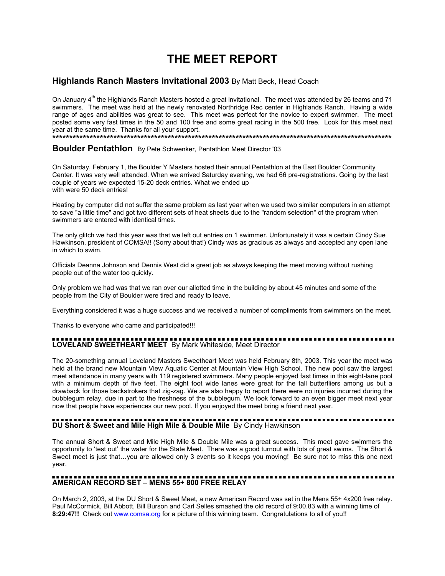# **THE MEET REPORT**

#### **Highlands Ranch Masters Invitational 2003** By Matt Beck, Head Coach

On January  $4<sup>th</sup>$  the Highlands Ranch Masters hosted a great invitational. The meet was attended by 26 teams and 71 swimmers. The meet was held at the newly renovated Northridge Rec center in Highlands Ranch. Having a wide range of ages and abilities was great to see. This meet was perfect for the novice to expert swimmer. The meet posted some very fast times in the 50 and 100 free and some great racing in the 500 free. Look for this meet next year at the same time. Thanks for all your support.

**\*\*\*\*\*\*\*\*\*\*\*\*\*\*\*\*\*\*\*\*\*\*\*\*\*\*\*\*\*\*\*\*\*\*\*\*\*\*\*\*\*\*\*\*\*\*\*\*\*\*\*\*\*\*\*\*\*\*\*\*\*\*\*\*\*\*\*\*\*\*\*\*\*\*\*\*\*\*\*\*\*\*\*\*\*\*\*\*\*\*\*\*\*\*\*\*\*\*\*\*** 

**Boulder Pentathlon** By Pete Schwenker, Pentathlon Meet Director '03

On Saturday, February 1, the Boulder Y Masters hosted their annual Pentathlon at the East Boulder Community Center. It was very well attended. When we arrived Saturday evening, we had 66 pre-registrations. Going by the last couple of years we expected 15-20 deck entries. What we ended up with were 50 deck entries!

Heating by computer did not suffer the same problem as last year when we used two similar computers in an attempt to save "a little time" and got two different sets of heat sheets due to the "random selection" of the program when swimmers are entered with identical times.

The only glitch we had this year was that we left out entries on 1 swimmer. Unfortunately it was a certain Cindy Sue Hawkinson, president of COMSA!! (Sorry about that!) Cindy was as gracious as always and accepted any open lane in which to swim.

Officials Deanna Johnson and Dennis West did a great job as always keeping the meet moving without rushing people out of the water too quickly.

Only problem we had was that we ran over our allotted time in the building by about 45 minutes and some of the people from the City of Boulder were tired and ready to leave.

Everything considered it was a huge success and we received a number of compliments from swimmers on the meet.

Thanks to everyone who came and participated!!!

## **LOVELAND SWEETHEART MEET** By Mark Whiteside, Meet Director

The 20-something annual Loveland Masters Sweetheart Meet was held February 8th, 2003. This year the meet was held at the brand new Mountain View Aquatic Center at Mountain View High School. The new pool saw the largest meet attendance in many years with 119 registered swimmers. Many people enjoyed fast times in this eight-lane pool with a minimum depth of five feet. The eight foot wide lanes were great for the tall butterfliers among us but a drawback for those backstrokers that zig-zag. We are also happy to report there were no injuries incurred during the bubblegum relay, due in part to the freshness of the bubblegum. We look forward to an even bigger meet next year now that people have experiences our new pool. If you enjoyed the meet bring a friend next year.

# **DU Short & Sweet and Mile High Mile & Double Mile** By Cindy Hawkinson

The annual Short & Sweet and Mile High Mile & Double Mile was a great success. This meet gave swimmers the opportunity to 'test out' the water for the State Meet. There was a good turnout with lots of great swims. The Short & Sweet meet is just that...you are allowed only 3 events so it keeps you moving! Be sure not to miss this one next year.

# **AMERICAN RECORD SET – MENS 55+ 800 FREE RELAY**

On March 2, 2003, at the DU Short & Sweet Meet, a new American Record was set in the Mens 55+ 4x200 free relay. Paul McCormick, Bill Abbott, Bill Burson and Carl Selles smashed the old record of 9:00.83 with a winning time of **8:29:47!!** Check out [www.comsa.org](http://www.comsa.org/) for a picture of this winning team. Congratulations to all of you!!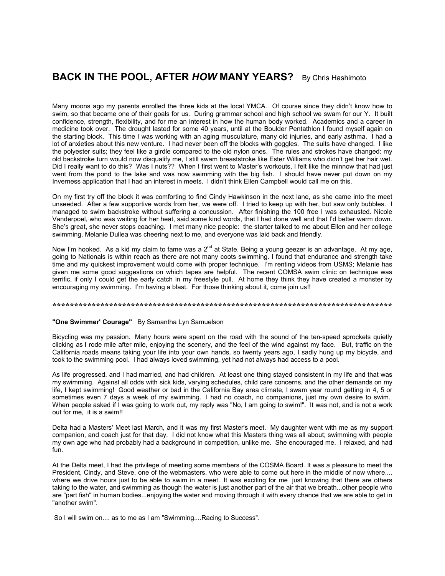## **BACK IN THE POOL, AFTER** *HOW* **MANY YEARS?** By Chris Hashimoto

Many moons ago my parents enrolled the three kids at the local YMCA. Of course since they didn't know how to swim, so that became one of their goals for us. During grammar school and high school we swam for our Y. It built confidence, strength, flexibility, and for me an interest in how the human body worked. Academics and a career in medicine took over. The drought lasted for some 40 years, until at the Boulder Pentathlon I found myself again on the starting block. This time I was working with an aging musculature, many old injuries, and early asthma. I had a lot of anxieties about this new venture. I had never been off the blocks with goggles. The suits have changed. I like the polyester suits; they feel like a girdle compared to the old nylon ones. The rules and strokes have changed: my old backstroke turn would now disqualify me, I still swam breaststroke like Ester Williams who didn't get her hair wet. Did I really want to do this? Was I nuts?? When I first went to Master's workouts, I felt like the minnow that had just went from the pond to the lake and was now swimming with the big fish. I should have never put down on my Inverness application that I had an interest in meets. I didn't think Ellen Campbell would call me on this.

On my first try off the block it was comforting to find Cindy Hawkinson in the next lane, as she came into the meet unseeded. After a few supportive words from her, we were off. I tried to keep up with her, but saw only bubbles. I managed to swim backstroke without suffering a concussion. After finishing the 100 free I was exhausted. Nicole Vanderpoel, who was waiting for her heat, said some kind words, that I had done well and that I'd better warm down. She's great, she never stops coaching. I met many nice people: the starter talked to me about Ellen and her college swimming, Melanie Dullea was cheering next to me, and everyone was laid back and friendly.

Now I'm hooked. As a kid my claim to fame was a  $2^{nd}$  at State. Being a young geezer is an advantage. At my age, going to Nationals is within reach as there are not many coots swimming. I found that endurance and strength take time and my quickest improvement would come with proper technique. I'm renting videos from USMS; Melanie has given me some good suggestions on which tapes are helpful. The recent COMSA swim clinic on technique was terrific, if only I could get the early catch in my freestyle pull. At home they think they have created a monster by encouraging my swimming. I'm having a blast. For those thinking about it, come join us!!

#### **\*\*\*\*\*\*\*\*\*\*\*\*\*\*\*\*\*\*\*\*\*\*\*\*\*\*\*\*\*\*\*\*\*\*\*\*\*\*\*\*\*\*\*\*\*\*\*\*\*\*\*\*\*\*\*\*\*\*\*\*\*\*\*\*\*\*\*\*\*\*\*\*\*\*\*\*\*\***

#### **"One Swimmer' Courage"** By Samantha Lyn Samuelson

Bicycling was my passion. Many hours were spent on the road with the sound of the ten-speed sprockets quietly clicking as I rode mile after mile, enjoying the scenery, and the feel of the wind against my face. But, traffic on the California roads means taking your life into your own hands, so twenty years ago, I sadly hung up my bicycle, and took to the swimming pool. I had always loved swimming, yet had not always had access to a pool.

As life progressed, and I had married, and had children. At least one thing stayed consistent in my life and that was my swimming. Against all odds with sick kids, varying schedules, child care concerns, and the other demands on my life, I kept swimming! Good weather or bad in the California Bay area climate, I swam year round getting in 4, 5 or sometimes even 7 days a week of my swimming. I had no coach, no companions, just my own desire to swim. When people asked if I was going to work out, my reply was "No, I am going to swim!". It was not, and is not a work out for me, it is a swim!!

Delta had a Masters' Meet last March, and it was my first Master's meet. My daughter went with me as my support companion, and coach just for that day. I did not know what this Masters thing was all about; swimming with people my own age who had probably had a background in competition, unlike me. She encouraged me. I relaxed, and had fun.

At the Delta meet, I had the privilege of meeting some members of the COSMA Board. It was a pleasure to meet the President, Cindy, and Steve, one of the webmasters, who were able to come out here in the middle of now where.... where we drive hours just to be able to swim in a meet. It was exciting for me just knowing that there are others taking to the water, and swimming as though the water is just another part of the air that we breath...other people who are "part fish" in human bodies...enjoying the water and moving through it with every chance that we are able to get in "another swim".

So I will swim on.... as to me as I am "Swimming....Racing to Success".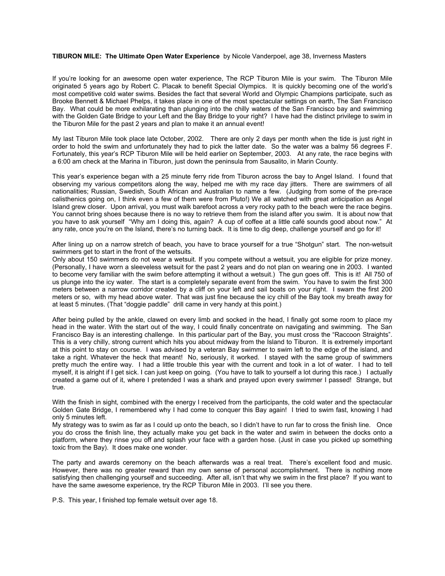#### **TIBURON MILE: The Ultimate Open Water Experience** by Nicole Vanderpoel, age 38, Inverness Masters

If you're looking for an awesome open water experience, The RCP Tiburon Mile is your swim. The Tiburon Mile originated 5 years ago by Robert C. Placak to benefit Special Olympics. It is quickly becoming one of the world's most competitive cold water swims. Besides the fact that several World and Olympic Champions participate, such as Brooke Bennett & Michael Phelps, it takes place in one of the most spectacular settings on earth, The San Francisco Bay. What could be more exhilarating than plunging into the chilly waters of the San Francisco bay and swimming with the Golden Gate Bridge to your Left and the Bay Bridge to your right? I have had the distinct privilege to swim in the Tiburon Mile for the past 2 years and plan to make it an annual event!

My last Tiburon Mile took place late October, 2002. There are only 2 days per month when the tide is just right in order to hold the swim and unfortunately they had to pick the latter date. So the water was a balmy 56 degrees F. Fortunately, this year's RCP Tiburon Mile will be held earlier on September, 2003. At any rate, the race begins with a 6:00 am check at the Marina in Tiburon, just down the peninsula from Sausalito, in Marin County.

This year's experience began with a 25 minute ferry ride from Tiburon across the bay to Angel Island. I found that observing my various competitors along the way, helped me with my race day jitters. There are swimmers of all nationalities; Russian, Swedish, South African and Australian to name a few. (Judging from some of the pre-race calisthenics going on, I think even a few of them were from Pluto!) We all watched with great anticipation as Angel Island grew closer. Upon arrival, you must walk barefoot across a very rocky path to the beach were the race begins. You cannot bring shoes because there is no way to retrieve them from the island after you swim. It is about now that you have to ask yourself "Why am I doing this, again? A cup of coffee at a little café sounds good about now." At any rate, once you're on the Island, there's no turning back. It is time to dig deep, challenge yourself and go for it!

After lining up on a narrow stretch of beach, you have to brace yourself for a true "Shotgun" start. The non-wetsuit swimmers get to start in the front of the wetsuits.

Only about 150 swimmers do not wear a wetsuit. If you compete without a wetsuit, you are eligible for prize money. (Personally, I have worn a sleeveless wetsuit for the past 2 years and do not plan on wearing one in 2003. I wanted to become very familiar with the swim before attempting it without a wetsuit.) The gun goes off. This is it! All 750 of us plunge into the icy water. The start is a completely separate event from the swim. You have to swim the first 300 meters between a narrow corridor created by a cliff on your left and sail boats on your right. I swam the first 200 meters or so, with my head above water. That was just fine because the icy chill of the Bay took my breath away for at least 5 minutes. (That "doggie paddle" drill came in very handy at this point.)

After being pulled by the ankle, clawed on every limb and socked in the head, I finally got some room to place my head in the water. With the start out of the way, I could finally concentrate on navigating and swimming. The San Francisco Bay is an interesting challenge. In this particular part of the Bay, you must cross the "Raccoon Straights". This is a very chilly, strong current which hits you about midway from the Island to Tiburon. It is extremely important at this point to stay on course. I was advised by a veteran Bay swimmer to swim left to the edge of the island, and take a right. Whatever the heck that meant! No, seriously, it worked. I stayed with the same group of swimmers pretty much the entire way. I had a little trouble this year with the current and took in a lot of water. I had to tell myself, it is alright if I get sick. I can just keep on going. (You have to talk to yourself a lot during this race.) I actually created a game out of it, where I pretended I was a shark and prayed upon every swimmer I passed! Strange, but true.

With the finish in sight, combined with the energy I received from the participants, the cold water and the spectacular Golden Gate Bridge, I remembered why I had come to conquer this Bay again! I tried to swim fast, knowing I had only 5 minutes left.

My strategy was to swim as far as I could up onto the beach, so I didn't have to run far to cross the finish line. Once you do cross the finish line, they actually make you get back in the water and swim in between the docks onto a platform, where they rinse you off and splash your face with a garden hose. (Just in case you picked up something toxic from the Bay). It does make one wonder.

The party and awards ceremony on the beach afterwards was a real treat. There's excellent food and music. However, there was no greater reward than my own sense of personal accomplishment. There is nothing more satisfying then challenging yourself and succeeding. After all, isn't that why we swim in the first place? If you want to have the same awesome experience, try the RCP Tiburon Mile in 2003. I'll see you there.

P.S. This year, I finished top female wetsuit over age 18.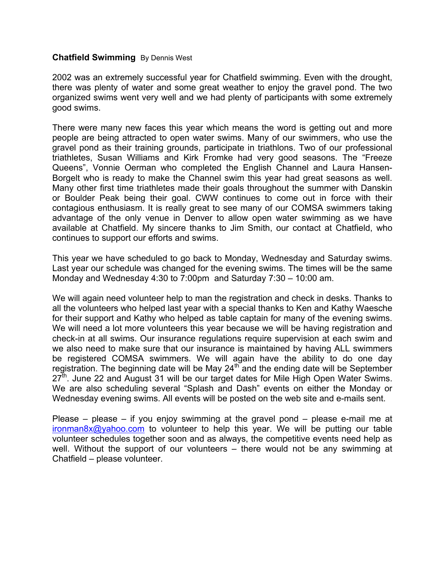#### **Chatfield Swimming** By Dennis West

2002 was an extremely successful year for Chatfield swimming. Even with the drought, there was plenty of water and some great weather to enjoy the gravel pond. The two organized swims went very well and we had plenty of participants with some extremely good swims.

There were many new faces this year which means the word is getting out and more people are being attracted to open water swims. Many of our swimmers, who use the gravel pond as their training grounds, participate in triathlons. Two of our professional triathletes, Susan Williams and Kirk Fromke had very good seasons. The "Freeze Queens", Vonnie Oerman who completed the English Channel and Laura Hansen-Borgelt who is ready to make the Channel swim this year had great seasons as well. Many other first time triathletes made their goals throughout the summer with Danskin or Boulder Peak being their goal. CWW continues to come out in force with their contagious enthusiasm. It is really great to see many of our COMSA swimmers taking advantage of the only venue in Denver to allow open water swimming as we have available at Chatfield. My sincere thanks to Jim Smith, our contact at Chatfield, who continues to support our efforts and swims.

This year we have scheduled to go back to Monday, Wednesday and Saturday swims. Last year our schedule was changed for the evening swims. The times will be the same Monday and Wednesday 4:30 to 7:00pm and Saturday 7:30 – 10:00 am.

We will again need volunteer help to man the registration and check in desks. Thanks to all the volunteers who helped last year with a special thanks to Ken and Kathy Waesche for their support and Kathy who helped as table captain for many of the evening swims. We will need a lot more volunteers this year because we will be having registration and check-in at all swims. Our insurance regulations require supervision at each swim and we also need to make sure that our insurance is maintained by having ALL swimmers be registered COMSA swimmers. We will again have the ability to do one day registration. The beginning date will be May 24<sup>th</sup> and the ending date will be September  $27<sup>th</sup>$ . June 22 and August 31 will be our target dates for Mile High Open Water Swims. We are also scheduling several "Splash and Dash" events on either the Monday or Wednesday evening swims. All events will be posted on the web site and e-mails sent.

Please – please – if you enjoy swimming at the gravel pond – please e-mail me at [ironman8x@yahoo.com](mailto:ironman8x@yahoo.com) to volunteer to help this year. We will be putting our table volunteer schedules together soon and as always, the competitive events need help as well. Without the support of our volunteers – there would not be any swimming at Chatfield – please volunteer.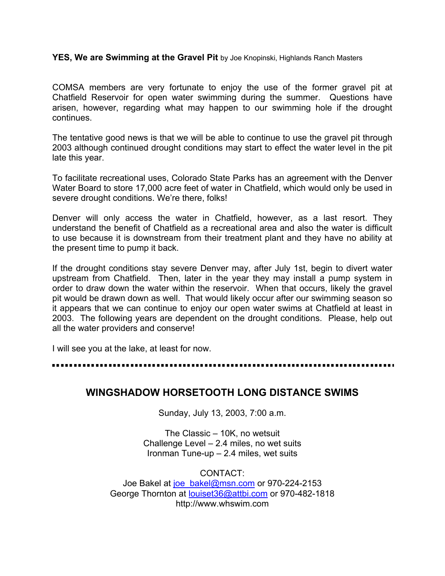**YES, We are Swimming at the Gravel Pit** by Joe Knopinski, Highlands Ranch Masters

COMSA members are very fortunate to enjoy the use of the former gravel pit at Chatfield Reservoir for open water swimming during the summer. Questions have arisen, however, regarding what may happen to our swimming hole if the drought continues.

The tentative good news is that we will be able to continue to use the gravel pit through 2003 although continued drought conditions may start to effect the water level in the pit late this year.

To facilitate recreational uses, Colorado State Parks has an agreement with the Denver Water Board to store 17,000 acre feet of water in Chatfield, which would only be used in severe drought conditions. We're there, folks!

Denver will only access the water in Chatfield, however, as a last resort. They understand the benefit of Chatfield as a recreational area and also the water is difficult to use because it is downstream from their treatment plant and they have no ability at the present time to pump it back.

If the drought conditions stay severe Denver may, after July 1st, begin to divert water upstream from Chatfield. Then, later in the year they may install a pump system in order to draw down the water within the reservoir. When that occurs, likely the gravel pit would be drawn down as well. That would likely occur after our swimming season so it appears that we can continue to enjoy our open water swims at Chatfield at least in 2003. The following years are dependent on the drought conditions. Please, help out all the water providers and conserve!

I will see you at the lake, at least for now.

## **WINGSHADOW HORSETOOTH LONG DISTANCE SWIMS**

Sunday, July 13, 2003, 7:00 a.m.

The Classic – 10K, no wetsuit Challenge Level – 2.4 miles, no wet suits Ironman Tune-up – 2.4 miles, wet suits

CONTACT: Joe Bakel at joe bakel@msn.com or 970-224-2153 George Thornton at [louiset36@attbi.com](mailto:louiset36@attbi.com) or 970-482-1818 http://www.whswim.com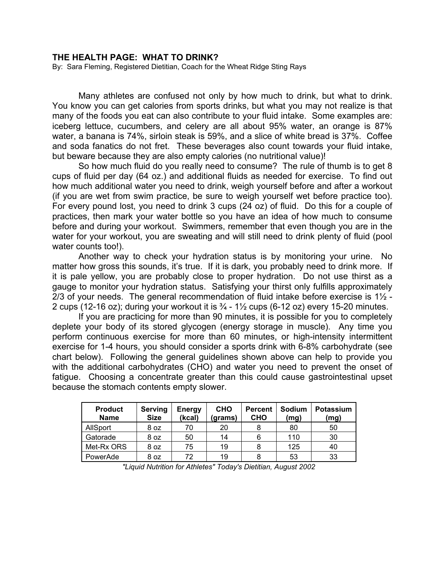#### **THE HEALTH PAGE: WHAT TO DRINK?**

By: Sara Fleming, Registered Dietitian, Coach for the Wheat Ridge Sting Rays

Many athletes are confused not only by how much to drink, but what to drink. You know you can get calories from sports drinks, but what you may not realize is that many of the foods you eat can also contribute to your fluid intake. Some examples are: iceberg lettuce, cucumbers, and celery are all about 95% water, an orange is 87% water, a banana is 74%, sirloin steak is 59%, and a slice of white bread is 37%. Coffee and soda fanatics do not fret. These beverages also count towards your fluid intake, but beware because they are also empty calories (no nutritional value)!

So how much fluid do you really need to consume? The rule of thumb is to get 8 cups of fluid per day (64 oz.) and additional fluids as needed for exercise. To find out how much additional water you need to drink, weigh yourself before and after a workout (if you are wet from swim practice, be sure to weigh yourself wet before practice too). For every pound lost, you need to drink 3 cups (24 oz) of fluid. Do this for a couple of practices, then mark your water bottle so you have an idea of how much to consume before and during your workout. Swimmers, remember that even though you are in the water for your workout, you are sweating and will still need to drink plenty of fluid (pool water counts too!).

Another way to check your hydration status is by monitoring your urine. No matter how gross this sounds, it's true. If it is dark, you probably need to drink more. If it is pale yellow, you are probably close to proper hydration. Do not use thirst as a gauge to monitor your hydration status. Satisfying your thirst only fulfills approximately 2/3 of your needs. The general recommendation of fluid intake before exercise is  $1\frac{1}{2}$  -2 cups (12-16 oz); during your workout it is  $\frac{3}{4}$  - 1 $\frac{1}{2}$  cups (6-12 oz) every 15-20 minutes.

 If you are practicing for more than 90 minutes, it is possible for you to completely deplete your body of its stored glycogen (energy storage in muscle). Any time you perform continuous exercise for more than 60 minutes, or high-intensity intermittent exercise for 1-4 hours, you should consider a sports drink with 6-8% carbohydrate (see chart below). Following the general guidelines shown above can help to provide you with the additional carbohydrates (CHO) and water you need to prevent the onset of fatigue. Choosing a concentrate greater than this could cause gastrointestinal upset because the stomach contents empty slower.

| <b>Product</b><br><b>Name</b> | Serving<br><b>Size</b> | <b>Energy</b><br>(kcal) | <b>CHO</b><br>(grams) | <b>Percent</b><br><b>CHO</b> | Sodium<br>(mg) | <b>Potassium</b><br>(mg) |
|-------------------------------|------------------------|-------------------------|-----------------------|------------------------------|----------------|--------------------------|
| AllSport                      | 8 oz                   |                         | 20                    | 8                            | 80             | 50                       |
| Gatorade                      | 8 oz                   | 50                      | 14                    | 6                            | 110            | 30                       |
| Met-Rx ORS                    | 8 oz                   | 75                      | 19                    | 8                            | 125            | 40                       |
| PowerAde                      | 8 oz                   | 72                      | 19                    | 8                            | 53             | 33                       |

*"Liquid Nutrition for Athletes" Today's Dietitian, August 2002*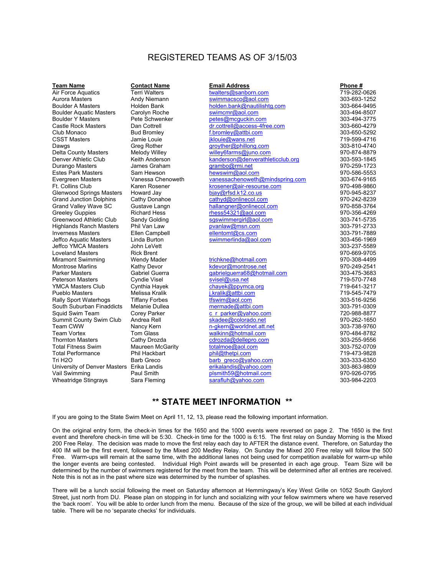#### REGISTERED TEAMS AS OF 3/15/03

| <b>Team Name</b>                          | <b>Contact Name</b>     | <b>Email Address</b>             | Phone #      |
|-------------------------------------------|-------------------------|----------------------------------|--------------|
| Air Force Aquatics                        | <b>Terri Walters</b>    | twalters@sanborn.com             | 719-282-0626 |
| <b>Aurora Masters</b>                     | Andy Niemann            | swimmacsco@aol.com               | 303-693-1252 |
| <b>Boulder A Masters</b>                  | Holden Bank             | holden.bank@nautilishtg.com      | 303-664-9495 |
| <b>Boulder Aquatic Masters</b>            | Carolyn Roche           | swimcmr@aol.com                  | 303-494-8507 |
| <b>Boulder Y Masters</b>                  | Pete Schwenker          | petes@mcquckin.com               | 303-494-3775 |
| Castle Rock Masters                       | Dan Cottrell            | dr.cottrell@access-4free.com     | 303-660-4279 |
| Club Monaco                               | <b>Bud Bromley</b>      | f.bromley@attbi.com              | 303-650-5292 |
| <b>CSST Masters</b>                       | Jamie Louie             | jklouje@wans.net                 | 719-599-4716 |
| Dawgs                                     | <b>Greg Rother</b>      | groyther@phillong.com            | 303-810-4740 |
| <b>Delta County Masters</b>               | Melody Willey           | willey6farms@juno.com            | 970-874-8879 |
| Denver Athletic Club                      | Keith Anderson          | kanderson@denverathleticclub.org | 303-593-1845 |
| Durango Masters                           | James Graham            | grambo@rmi.net                   | 970-259-1723 |
| <b>Estes Park Masters</b>                 | Sam Hewson              | hewswim@aol.com                  | 970-586-5553 |
| Evergreen Masters                         | Vanessa Chenoweth       | vanessachenoweth@mindspring.com  | 303-674-9165 |
| <b>Ft. Collins Club</b>                   | Karen Rosener           | krosener@air-resourse.com        | 970-498-9860 |
| <b>Glenwood Springs Masters</b>           | Howard Jay              | bjay@rfsd.k12.co.us              | 970-945-8237 |
| <b>Grand Junction Dolphins</b>            | Cathy Donahoe           | cathyd@onlinecol.com             | 970-242-8239 |
| Grand Valley Wave SC                      | Gustave Langn           | hallangner@onlinecol.com         | 970-858-3764 |
| <b>Greeley Guppies</b>                    | <b>Richard Hess</b>     | rhess54321@aol.com               | 970-356-4269 |
| Greenwood Athletic Club                   | Sandy Golding           | sqswimmergirl@aol.com            | 303-741-5735 |
| <b>Highlands Ranch Masters</b>            | Phil Van Law            | pvanlaw@msn.com                  | 303-791-2733 |
| <b>Inverness Masters</b>                  | Ellen Campbell          | ellentomt@cs.com                 | 303-791-7889 |
| Jeffco Aquatic Masters                    | Linda Burton            | swimmerlinda@aol.com             | 303-456-1969 |
| Jeffco YMCA Masters                       | John LeVett             |                                  | 303-237-5589 |
| <b>Loveland Masters</b>                   | <b>Rick Brent</b>       |                                  | 970-669-9705 |
| <b>Miramont Swimming</b>                  | <b>Wendy Mader</b>      | trichkne@hotmail.com             | 970-308-4499 |
| <b>Montrose Marlins</b>                   | Kathy Devor             | kdevor@montrose.net              | 970-249-2541 |
| <b>Parker Masters</b>                     | Gabriel Guerra          | gabrielguerra68@hotmail.com      | 303-475-3683 |
| Peterson Masters                          | Cyndie Visel            | svisel@usa.net                   | 719-570-7748 |
| <b>YMCA Masters Club</b>                  | Cynthia Hayek           | chayek@ppymca.org                | 719-641-3217 |
| <b>Pueblo Masters</b>                     | Melissa Kralik          | j.kralik@attbi.com               | 719-545-7479 |
| <b>Rally Sport Waterhogs</b>              | <b>Tiffany Forbes</b>   | tfswim@aol.com                   | 303-516-9256 |
| South Suburban Finaddicts                 | Melanie Dullea          | mermade@attbi.com                | 303-791-0309 |
| Squid Swim Team                           | Corey Parker            | c r parker@yahoo.com             | 720-988-8877 |
| Summit County Swim Club                   | Andrea Rell             | skadee@colorado.net              | 970-262-1650 |
| Team CWW                                  | Nancy Kern              | n-gkern@worldnet.att.net         | 303-738-9760 |
| <b>Team Vortex</b>                        | Tom Glass               | walkinn@hotmail.com              | 970-484-8782 |
| <b>Thornton Masters</b>                   | Cathy Drozda            | cdrozda@dellepro.com             | 303-255-9556 |
| <b>Total Fitness Swim</b>                 | <b>Maureen McGarity</b> | totalmoe@aol.com                 | 303-752-0709 |
| <b>Total Performance</b>                  | Phil Hackbart           | phil@thetpi.com                  | 719-473-9828 |
| Tri H2O                                   | <b>Barb Greco</b>       | barb greco@yahoo.com             | 303-333-6350 |
| University of Denver Masters Erika Landis |                         | erikalandis@yahoo.com            | 303-863-9809 |
| Vail Swimming                             | Paul Smith              | plsmith59@hotmail.com            | 970-926-0795 |
| Wheatridge Stingrays                      | Sara Fleming            | sarafluh@yahoo.com               | 303-984-2203 |

#### **\*\* STATE MEET INFORMATION \*\***

If you are going to the State Swim Meet on April 11, 12, 13, please read the following important information.

On the original entry form, the check-in times for the 1650 and the 1000 events were reversed on page 2. The 1650 is the first event and therefore check-in time will be 5:30. Check-in time for the 1000 is 6:15. The first relay on Sunday Morning is the Mixed 200 Free Relay. The decision was made to move the first relay each day to AFTER the distance event. Therefore, on Saturday the 400 IM will be the first event, followed by the Mixed 200 Medley Relay. On Sunday the Mixed 200 Free relay will follow the 500 Free. Warm-ups will remain at the same time, with the additional lanes not being used for competition available for warm-up while the longer events are being contested. Individual High Point awards will be presented in each age group. Team Size will be determined by the number of swimmers registered for the meet from the team. This will be determined after all entries are received. Note this is not as in the past where size was determined by the number of splashes.

There will be a lunch social following the meet on Saturday afternoon at Hemmingway's Key West Grille on 1052 South Gaylord Street, just north from DU. Please plan on stopping in for lunch and socializing with your fellow swimmers where we have reserved the 'back room'. You will be able to order lunch from the menu. Because of the size of the group, we will be billed at each individual table. There will be no 'separate checks' for individuals.